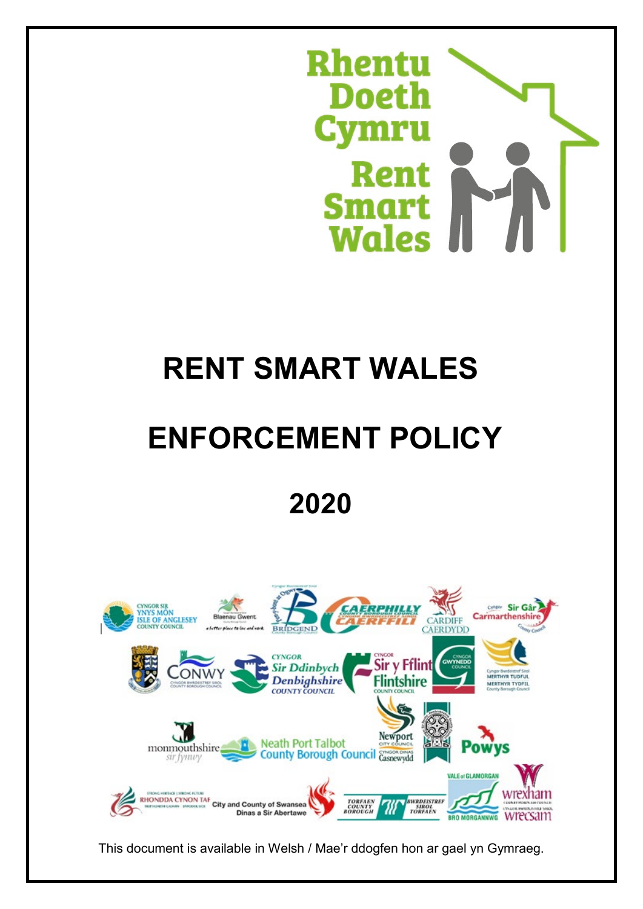

# **RENT SMART WALES**

# **ENFORCEMENT POLICY**

# **2020**



This document is available in Welsh / Mae'r ddogfen hon ar gael yn Gymraeg.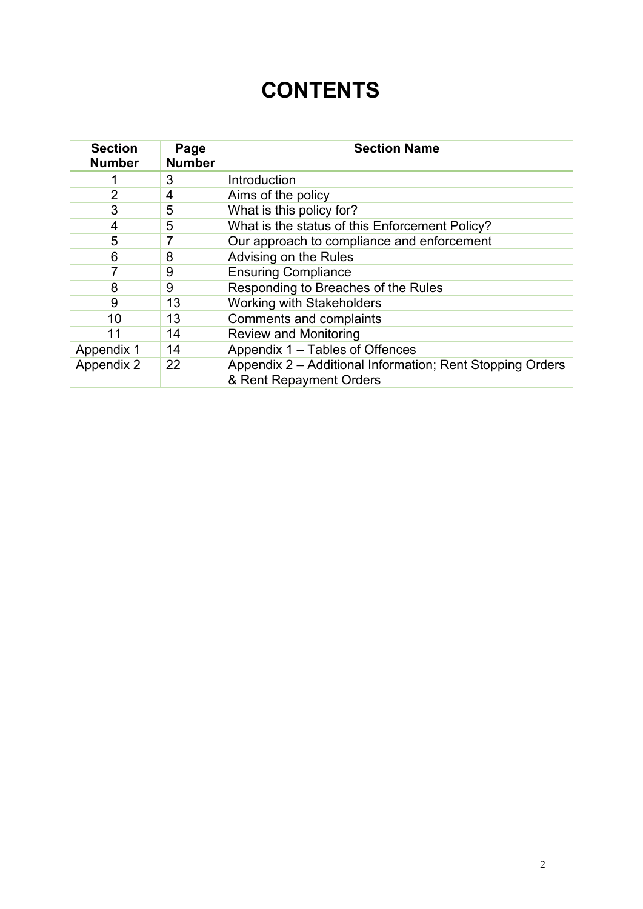# **CONTENTS**

| <b>Section</b><br><b>Number</b> | Page<br><b>Number</b> | <b>Section Name</b>                                                                  |
|---------------------------------|-----------------------|--------------------------------------------------------------------------------------|
|                                 | 3                     | Introduction                                                                         |
| $\overline{2}$                  | 4                     | Aims of the policy                                                                   |
| 3                               | 5                     | What is this policy for?                                                             |
| 4                               | 5                     | What is the status of this Enforcement Policy?                                       |
| 5                               | 7                     | Our approach to compliance and enforcement                                           |
| 6                               | 8                     | Advising on the Rules                                                                |
| 7                               | 9                     | <b>Ensuring Compliance</b>                                                           |
| 8                               | 9                     | Responding to Breaches of the Rules                                                  |
| 9                               | 13                    | <b>Working with Stakeholders</b>                                                     |
| 10                              | 13                    | Comments and complaints                                                              |
| 11                              | 14                    | <b>Review and Monitoring</b>                                                         |
| Appendix 1                      | 14                    | Appendix 1 - Tables of Offences                                                      |
| Appendix 2                      | 22                    | Appendix 2 – Additional Information; Rent Stopping Orders<br>& Rent Repayment Orders |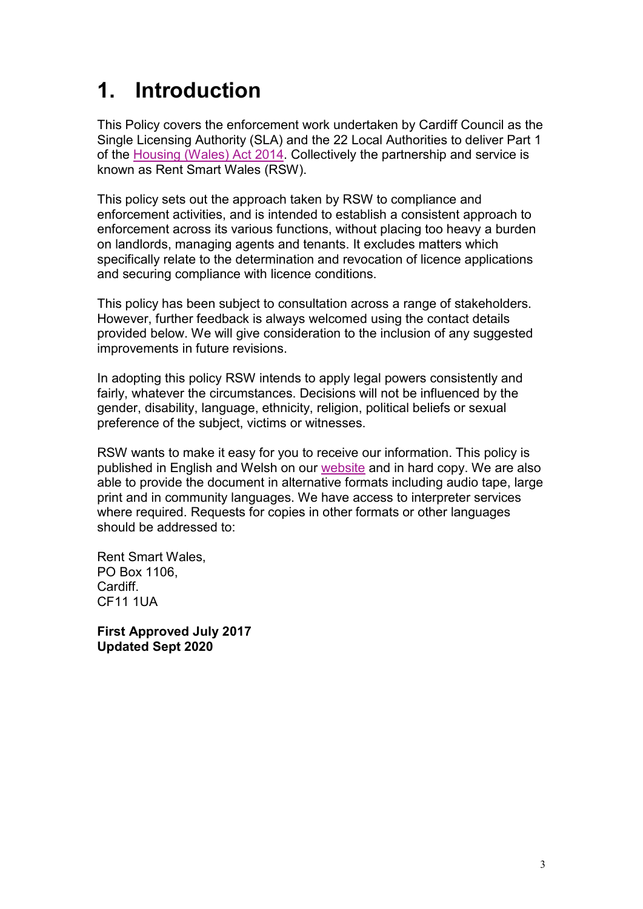# **1. Introduction**

This Policy covers the enforcement work undertaken by Cardiff Council as the Single Licensing Authority (SLA) and the 22 Local Authorities to deliver Part 1 of the [Housing \(Wales\) Act 2014.](http://www.legislation.gov.uk/anaw/2014/7/contents/enacted) Collectively the partnership and service is known as Rent Smart Wales (RSW).

This policy sets out the approach taken by RSW to compliance and enforcement activities, and is intended to establish a consistent approach to enforcement across its various functions, without placing too heavy a burden on landlords, managing agents and tenants. It excludes matters which specifically relate to the determination and revocation of licence applications and securing compliance with licence conditions.

This policy has been subject to consultation across a range of stakeholders. However, further feedback is always welcomed using the contact details provided below. We will give consideration to the inclusion of any suggested improvements in future revisions.

In adopting this policy RSW intends to apply legal powers consistently and fairly, whatever the circumstances. Decisions will not be influenced by the gender, disability, language, ethnicity, religion, political beliefs or sexual preference of the subject, victims or witnesses.

RSW wants to make it easy for you to receive our information. This policy is published in English and Welsh on our [website](https://www.rentsmart.gov.wales/en/resource-library/) and in hard copy. We are also able to provide the document in alternative formats including audio tape, large print and in community languages. We have access to interpreter services where required. Requests for copies in other formats or other languages should be addressed to:

Rent Smart Wales, PO Box 1106, Cardiff. CF11 1UA

**First Approved July 2017 Updated Sept 2020**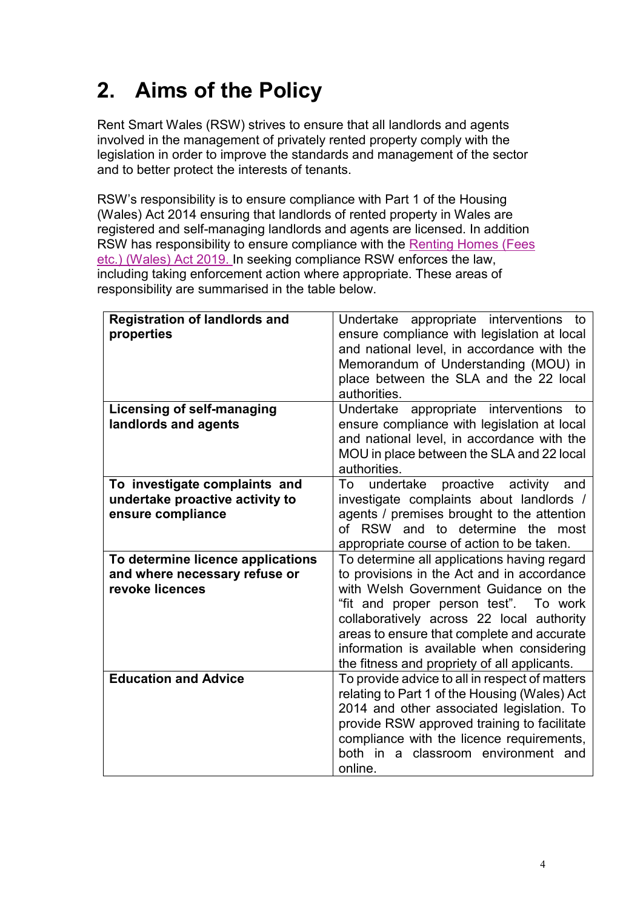# **2. Aims of the Policy**

Rent Smart Wales (RSW) strives to ensure that all landlords and agents involved in the management of privately rented property comply with the legislation in order to improve the standards and management of the sector and to better protect the interests of tenants.

RSW's responsibility is to ensure compliance with Part 1 of the Housing (Wales) Act 2014 ensuring that landlords of rented property in Wales are registered and self-managing landlords and agents are licensed. In addition RSW has responsibility to ensure compliance with the [Renting Homes \(Fees](http://www.legislation.gov.uk/anaw/2019/2/contents/enacted)  [etc.\) \(Wales\) Act 2019.](http://www.legislation.gov.uk/anaw/2019/2/contents/enacted) In seeking compliance RSW enforces the law, including taking enforcement action where appropriate. These areas of responsibility are summarised in the table below.

| <b>Registration of landlords and</b><br>properties                                    | Undertake appropriate interventions to<br>ensure compliance with legislation at local<br>and national level, in accordance with the<br>Memorandum of Understanding (MOU) in<br>place between the SLA and the 22 local<br>authorities.                                                                                                                               |
|---------------------------------------------------------------------------------------|---------------------------------------------------------------------------------------------------------------------------------------------------------------------------------------------------------------------------------------------------------------------------------------------------------------------------------------------------------------------|
| <b>Licensing of self-managing</b><br>landlords and agents                             | appropriate interventions to<br>Undertake<br>ensure compliance with legislation at local<br>and national level, in accordance with the<br>MOU in place between the SLA and 22 local<br>authorities.                                                                                                                                                                 |
| To investigate complaints and<br>undertake proactive activity to<br>ensure compliance | proactive<br>undertake<br>activity<br>To<br>and<br>investigate complaints about landlords /<br>agents / premises brought to the attention<br>of RSW and to determine the<br>most<br>appropriate course of action to be taken.                                                                                                                                       |
| To determine licence applications<br>and where necessary refuse or<br>revoke licences | To determine all applications having regard<br>to provisions in the Act and in accordance<br>with Welsh Government Guidance on the<br>"fit and proper person test". To work<br>collaboratively across 22 local authority<br>areas to ensure that complete and accurate<br>information is available when considering<br>the fitness and propriety of all applicants. |
| <b>Education and Advice</b>                                                           | To provide advice to all in respect of matters<br>relating to Part 1 of the Housing (Wales) Act<br>2014 and other associated legislation. To<br>provide RSW approved training to facilitate<br>compliance with the licence requirements,<br>both in a classroom environment and<br>online.                                                                          |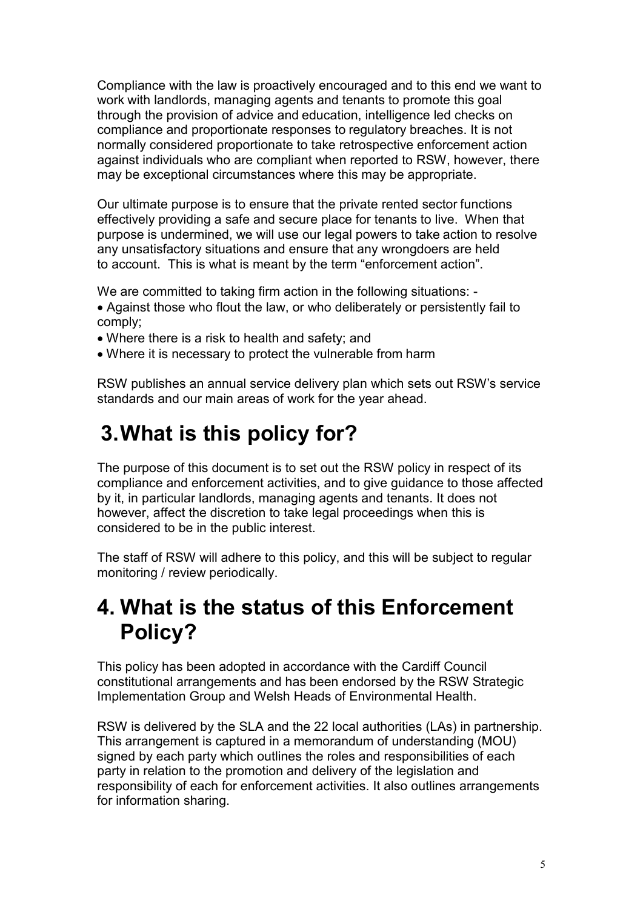Compliance with the law is proactively encouraged and to this end we want to work with landlords, managing agents and tenants to promote this goal through the provision of advice and education, intelligence led checks on compliance and proportionate responses to regulatory breaches. It is not normally considered proportionate to take retrospective enforcement action against individuals who are compliant when reported to RSW, however, there may be exceptional circumstances where this may be appropriate.

Our ultimate purpose is to ensure that the private rented sector functions effectively providing a safe and secure place for tenants to live. When that purpose is undermined, we will use our legal powers to take action to resolve any unsatisfactory situations and ensure that any wrongdoers are held to account. This is what is meant by the term "enforcement action".

We are committed to taking firm action in the following situations: -

- Against those who flout the law, or who deliberately or persistently fail to comply;
- Where there is a risk to health and safety; and
- Where it is necessary to protect the vulnerable from harm

RSW publishes an annual service delivery plan which sets out RSW's service standards and our main areas of work for the year ahead.

### **3.What is this policy for?**

The purpose of this document is to set out the RSW policy in respect of its compliance and enforcement activities, and to give guidance to those affected by it, in particular landlords, managing agents and tenants. It does not however, affect the discretion to take legal proceedings when this is considered to be in the public interest.

The staff of RSW will adhere to this policy, and this will be subject to regular monitoring / review periodically.

### **4. What is the status of this Enforcement Policy?**

This policy has been adopted in accordance with the Cardiff Council constitutional arrangements and has been endorsed by the RSW Strategic Implementation Group and Welsh Heads of Environmental Health.

RSW is delivered by the SLA and the 22 local authorities (LAs) in partnership. This arrangement is captured in a memorandum of understanding (MOU) signed by each party which outlines the roles and responsibilities of each party in relation to the promotion and delivery of the legislation and responsibility of each for enforcement activities. It also outlines arrangements for information sharing.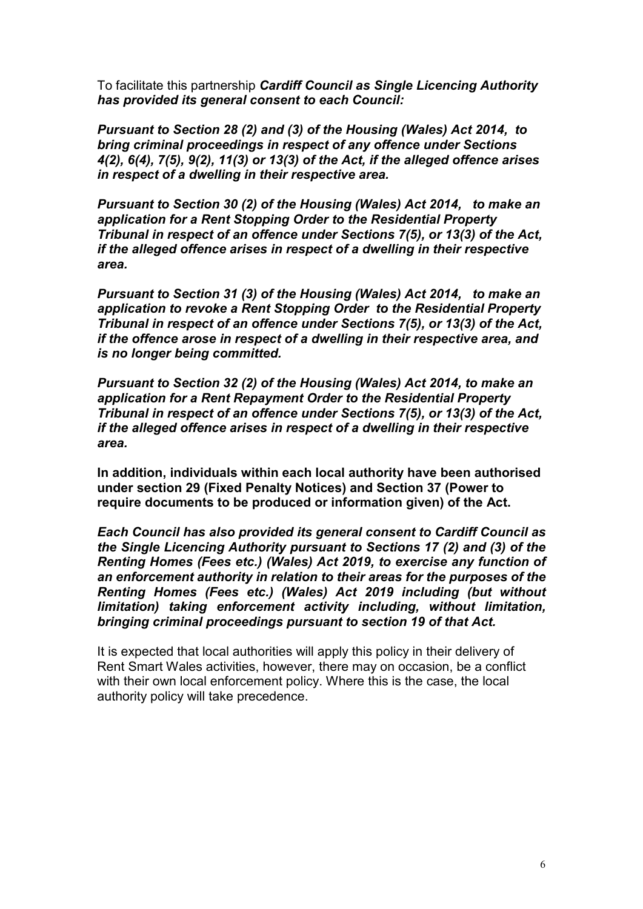To facilitate this partnership *Cardiff Council as Single Licencing Authority has provided its general consent to each Council:*

*Pursuant to Section 28 (2) and (3) of the Housing (Wales) Act 2014, to bring criminal proceedings in respect of any offence under Sections 4(2), 6(4), 7(5), 9(2), 11(3) or 13(3) of the Act, if the alleged offence arises in respect of a dwelling in their respective area.*

*Pursuant to Section 30 (2) of the Housing (Wales) Act 2014, to make an application for a Rent Stopping Order to the Residential Property Tribunal in respect of an offence under Sections 7(5), or 13(3) of the Act, if the alleged offence arises in respect of a dwelling in their respective area.*

*Pursuant to Section 31 (3) of the Housing (Wales) Act 2014, to make an application to revoke a Rent Stopping Order to the Residential Property Tribunal in respect of an offence under Sections 7(5), or 13(3) of the Act, if the offence arose in respect of a dwelling in their respective area, and is no longer being committed.*

*Pursuant to Section 32 (2) of the Housing (Wales) Act 2014, to make an application for a Rent Repayment Order to the Residential Property Tribunal in respect of an offence under Sections 7(5), or 13(3) of the Act, if the alleged offence arises in respect of a dwelling in their respective area.*

**In addition, individuals within each local authority have been authorised under section 29 (Fixed Penalty Notices) and Section 37 (Power to require documents to be produced or information given) of the Act.**

*Each Council has also provided its general consent to Cardiff Council as the Single Licencing Authority pursuant to Sections 17 (2) and (3) of the Renting Homes (Fees etc.) (Wales) Act 2019, to exercise any function of an enforcement authority in relation to their areas for the purposes of the Renting Homes (Fees etc.) (Wales) Act 2019 including (but without limitation) taking enforcement activity including, without limitation, bringing criminal proceedings pursuant to section 19 of that Act.*

It is expected that local authorities will apply this policy in their delivery of Rent Smart Wales activities, however, there may on occasion, be a conflict with their own local enforcement policy. Where this is the case, the local authority policy will take precedence.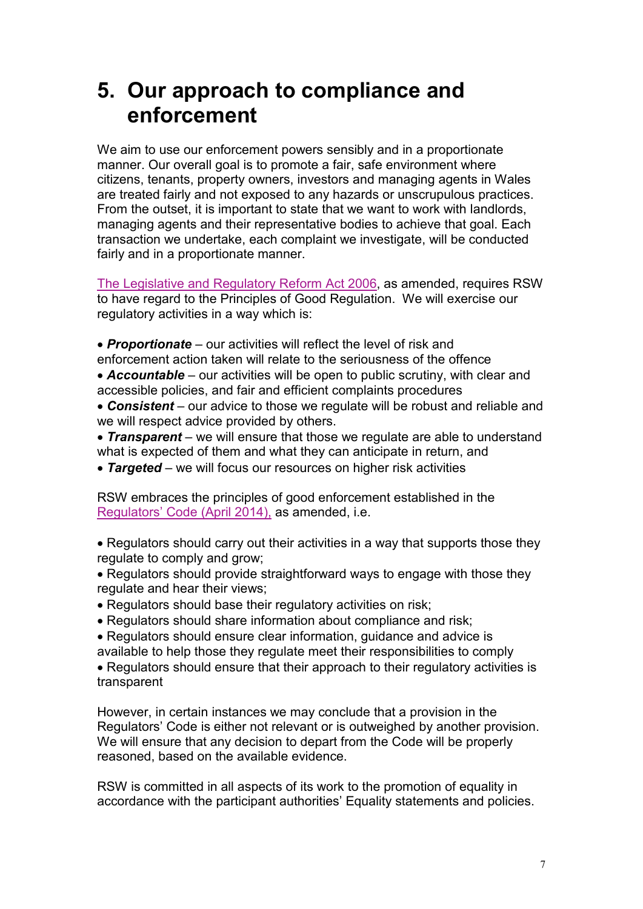### **5. Our approach to compliance and enforcement**

We aim to use our enforcement powers sensibly and in a proportionate manner. Our overall goal is to promote a fair, safe environment where citizens, tenants, property owners, investors and managing agents in Wales are treated fairly and not exposed to any hazards or unscrupulous practices. From the outset, it is important to state that we want to work with landlords, managing agents and their representative bodies to achieve that goal. Each transaction we undertake, each complaint we investigate, will be conducted fairly and in a proportionate manner.

[The Legislative and Regulatory Reform Act 2006,](http://www.legislation.gov.uk/ukpga/2006/51/contents) as amended, requires RSW to have regard to the Principles of Good Regulation. We will exercise our regulatory activities in a way which is:

- *Proportionate*  our activities will reflect the level of risk and
- enforcement action taken will relate to the seriousness of the offence • **Accountable** – our activities will be open to public scrutiny, with clear and accessible policies, and fair and efficient complaints procedures
- **Consistent** our advice to those we regulate will be robust and reliable and we will respect advice provided by others.
- **Transparent** we will ensure that those we regulate are able to understand what is expected of them and what they can anticipate in return, and
- *Targeted*  we will focus our resources on higher risk activities

RSW embraces the principles of good enforcement established in the [Regulators' Code](https://www.gov.uk/government/publications/regulators-code) (April 2014), as amended, i.e.

- Regulators should carry out their activities in a way that supports those they regulate to comply and grow;
- Regulators should provide straightforward ways to engage with those they regulate and hear their views;
- Regulators should base their regulatory activities on risk;
- Regulators should share information about compliance and risk;

• Regulators should ensure clear information, guidance and advice is available to help those they regulate meet their responsibilities to comply

• Regulators should ensure that their approach to their regulatory activities is transparent

However, in certain instances we may conclude that a provision in the Regulators' Code is either not relevant or is outweighed by another provision. We will ensure that any decision to depart from the Code will be properly reasoned, based on the available evidence.

RSW is committed in all aspects of its work to the promotion of equality in accordance with the participant authorities' Equality statements and policies.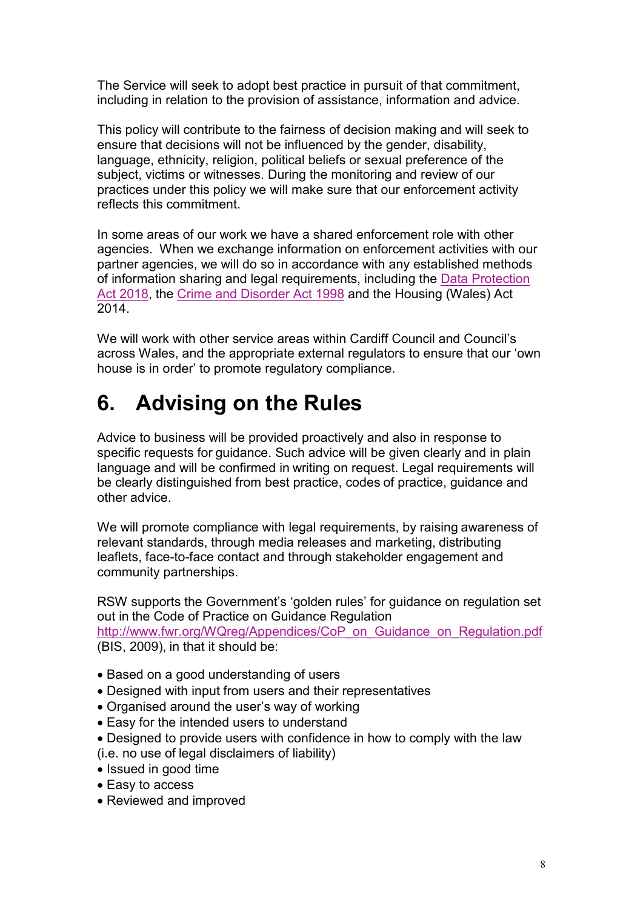The Service will seek to adopt best practice in pursuit of that commitment, including in relation to the provision of assistance, information and advice.

This policy will contribute to the fairness of decision making and will seek to ensure that decisions will not be influenced by the gender, disability, language, ethnicity, religion, political beliefs or sexual preference of the subject, victims or witnesses. During the monitoring and review of our practices under this policy we will make sure that our enforcement activity reflects this commitment.

In some areas of our work we have a shared enforcement role with other agencies. When we exchange information on enforcement activities with our partner agencies, we will do so in accordance with any established methods of information sharing and legal requirements, including the [Data Protection](https://www.legislation.gov.uk/ukpga/2018/12/contents/enacted)  [Act 2018,](https://www.legislation.gov.uk/ukpga/2018/12/contents/enacted) the [Crime and Disorder Act 1998](http://www.legislation.gov.uk/ukpga/1998/37/contents) and the Housing (Wales) Act 2014.

We will work with other service areas within Cardiff Council and Council's across Wales, and the appropriate external regulators to ensure that our 'own house is in order' to promote regulatory compliance.

## **6. Advising on the Rules**

Advice to business will be provided proactively and also in response to specific requests for guidance. Such advice will be given clearly and in plain language and will be confirmed in writing on request. Legal requirements will be clearly distinguished from best practice, codes of practice, guidance and other advice.

We will promote compliance with legal requirements, by raising awareness of relevant standards, through media releases and marketing, distributing leaflets, face-to-face contact and through stakeholder engagement and community partnerships.

RSW supports the Government's 'golden rules' for guidance on regulation set out in the Code of Practice on Guidance Regulation [http://www.fwr.org/WQreg/Appendices/CoP\\_on\\_Guidance\\_on\\_Regulation.pdf](http://www.fwr.org/WQreg/Appendices/CoP_on_Guidance_on_Regulation.pdf) (BIS, 2009), in that it should be:

- Based on a good understanding of users
- Designed with input from users and their representatives
- Organised around the user's way of working
- Easy for the intended users to understand
- Designed to provide users with confidence in how to comply with the law
- (i.e. no use of legal disclaimers of liability)
- Issued in good time
- Easy to access
- Reviewed and improved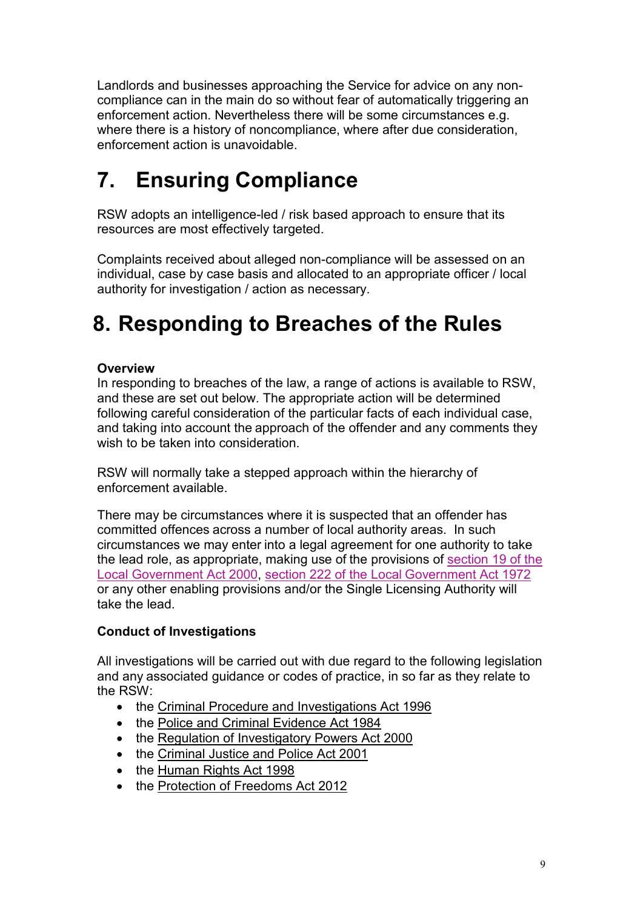Landlords and businesses approaching the Service for advice on any noncompliance can in the main do so without fear of automatically triggering an enforcement action. Nevertheless there will be some circumstances e.g. where there is a history of noncompliance, where after due consideration, enforcement action is unavoidable.

## **7. Ensuring Compliance**

RSW adopts an intelligence-led / risk based approach to ensure that its resources are most effectively targeted.

Complaints received about alleged non-compliance will be assessed on an individual, case by case basis and allocated to an appropriate officer / local authority for investigation / action as necessary.

## **8. Responding to Breaches of the Rules**

#### **Overview**

In responding to breaches of the law, a range of actions is available to RSW, and these are set out below. The appropriate action will be determined following careful consideration of the particular facts of each individual case, and taking into account the approach of the offender and any comments they wish to be taken into consideration.

RSW will normally take a stepped approach within the hierarchy of enforcement available.

There may be circumstances where it is suspected that an offender has committed offences across a number of local authority areas. In such circumstances we may enter into a legal agreement for one authority to take the lead role, as appropriate, making use of the provisions of [section 19 of the](http://www.legislation.gov.uk/ukpga/2000/22/contents)  [Local Government Act 2000,](http://www.legislation.gov.uk/ukpga/2000/22/contents) [section 222 of the Local](http://www.legislation.gov.uk/ukpga/1972/70/contents) Government Act 1972 or any other enabling provisions and/or the Single Licensing Authority will take the lead.

#### **Conduct of Investigations**

All investigations will be carried out with due regard to the following legislation and any associated guidance or codes of practice, in so far as they relate to the RSW:

- the [Criminal Procedure and Investigations Act 1996](https://www.gov.uk/government/publications/criminal-procedure-and-investigations-act-code-of-practice)
- the [Police and Criminal Evidence Act 1984](https://www.gov.uk/guidance/police-and-criminal-evidence-act-1984-pace-codes-of-practice)
- the [Regulation of Investigatory Powers Act 2000](https://www.gov.uk/government/collections/ripa-codes)
- the [Criminal Justice and Police Act 2001](http://www.legislation.gov.uk/ukpga/2001/16)
- the [Human Rights Act 1998](http://www.legislation.gov.uk/ukpga/1998/42/contents)
- the [Protection of Freedoms Act 2012](http://www.legislation.gov.uk/ukpga/2012/9/contents)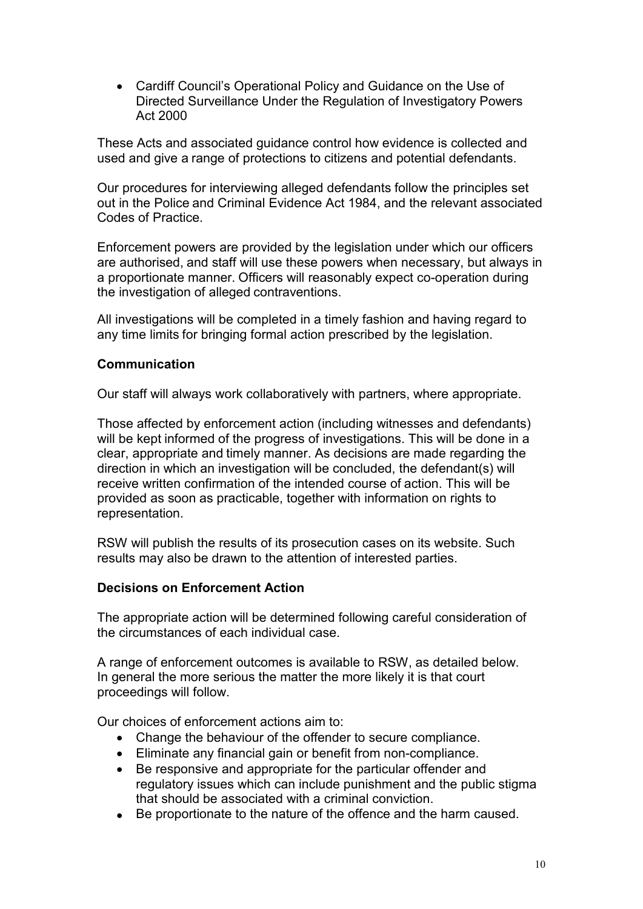• Cardiff Council's Operational Policy and Guidance on the Use of Directed Surveillance Under the Regulation of Investigatory Powers Act 2000

These Acts and associated guidance control how evidence is collected and used and give a range of protections to citizens and potential defendants.

Our procedures for interviewing alleged defendants follow the principles set out in the Police and Criminal Evidence Act 1984, and the relevant associated Codes of Practice.

Enforcement powers are provided by the legislation under which our officers are authorised, and staff will use these powers when necessary, but always in a proportionate manner. Officers will reasonably expect co-operation during the investigation of alleged contraventions.

All investigations will be completed in a timely fashion and having regard to any time limits for bringing formal action prescribed by the legislation.

#### **Communication**

Our staff will always work collaboratively with partners, where appropriate.

Those affected by enforcement action (including witnesses and defendants) will be kept informed of the progress of investigations. This will be done in a clear, appropriate and timely manner. As decisions are made regarding the direction in which an investigation will be concluded, the defendant(s) will receive written confirmation of the intended course of action. This will be provided as soon as practicable, together with information on rights to representation.

RSW will publish the results of its prosecution cases on its website. Such results may also be drawn to the attention of interested parties.

#### **Decisions on Enforcement Action**

The appropriate action will be determined following careful consideration of the circumstances of each individual case.

A range of enforcement outcomes is available to RSW, as detailed below. In general the more serious the matter the more likely it is that court proceedings will follow.

Our choices of enforcement actions aim to:

- Change the behaviour of the offender to secure compliance.
- Eliminate any financial gain or benefit from non-compliance.
- Be responsive and appropriate for the particular offender and regulatory issues which can include punishment and the public stigma that should be associated with a criminal conviction.
- Be proportionate to the nature of the offence and the harm caused.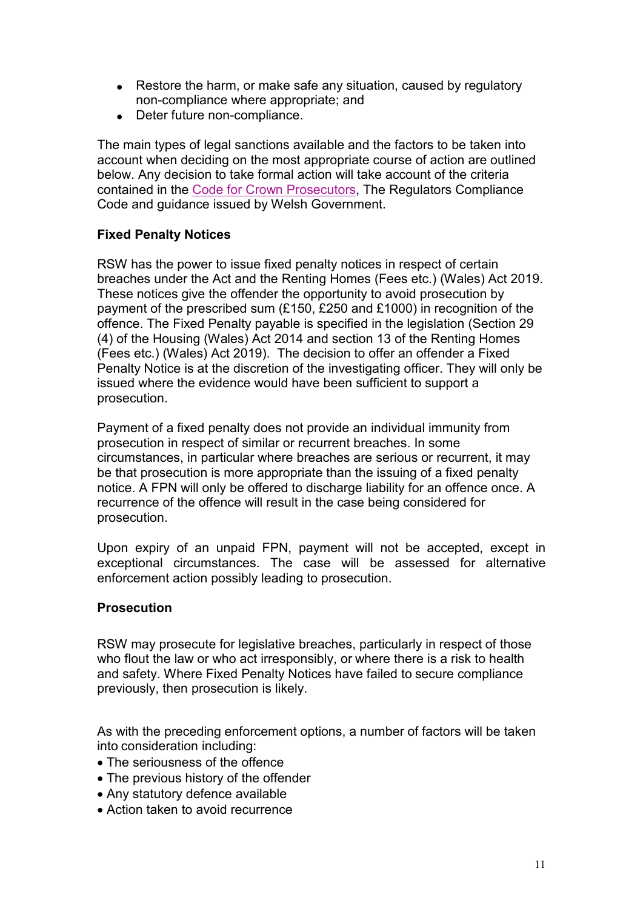- Restore the harm, or make safe any situation, caused by regulatory non-compliance where appropriate; and
- Deter future non-compliance.

The main types of legal sanctions available and the factors to be taken into account when deciding on the most appropriate course of action are outlined below. Any decision to take formal action will take account of the criteria contained in the [Code for Crown Prosecutors,](https://www.cps.gov.uk/publications/code_for_crown_prosecutors/) The Regulators Compliance Code and guidance issued by Welsh Government.

#### **Fixed Penalty Notices**

RSW has the power to issue fixed penalty notices in respect of certain breaches under the Act and the Renting Homes (Fees etc.) (Wales) Act 2019. These notices give the offender the opportunity to avoid prosecution by payment of the prescribed sum (£150, £250 and £1000) in recognition of the offence. The Fixed Penalty payable is specified in the legislation (Section 29 (4) of the Housing (Wales) Act 2014 and section 13 of the Renting Homes (Fees etc.) (Wales) Act 2019). The decision to offer an offender a Fixed Penalty Notice is at the discretion of the investigating officer. They will only be issued where the evidence would have been sufficient to support a prosecution.

Payment of a fixed penalty does not provide an individual immunity from prosecution in respect of similar or recurrent breaches. In some circumstances, in particular where breaches are serious or recurrent, it may be that prosecution is more appropriate than the issuing of a fixed penalty notice. A FPN will only be offered to discharge liability for an offence once. A recurrence of the offence will result in the case being considered for prosecution.

Upon expiry of an unpaid FPN, payment will not be accepted, except in exceptional circumstances. The case will be assessed for alternative enforcement action possibly leading to prosecution.

#### **Prosecution**

RSW may prosecute for legislative breaches, particularly in respect of those who flout the law or who act irresponsibly, or where there is a risk to health and safety. Where Fixed Penalty Notices have failed to secure compliance previously, then prosecution is likely.

As with the preceding enforcement options, a number of factors will be taken into consideration including:

- The seriousness of the offence
- The previous history of the offender
- Any statutory defence available
- Action taken to avoid recurrence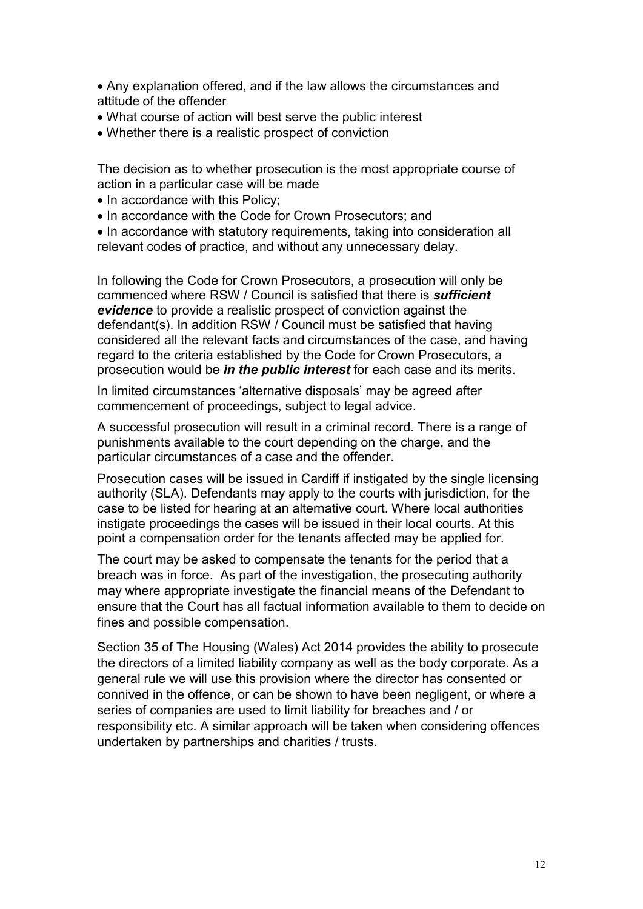• Any explanation offered, and if the law allows the circumstances and attitude of the offender

- What course of action will best serve the public interest
- Whether there is a realistic prospect of conviction

The decision as to whether prosecution is the most appropriate course of action in a particular case will be made

- In accordance with this Policy;
- In accordance with the Code for Crown Prosecutors; and

• In accordance with statutory requirements, taking into consideration all relevant codes of practice, and without any unnecessary delay.

In following the Code for Crown Prosecutors, a prosecution will only be commenced where RSW / Council is satisfied that there is *sufficient evidence* to provide a realistic prospect of conviction against the defendant(s). In addition RSW / Council must be satisfied that having considered all the relevant facts and circumstances of the case, and having regard to the criteria established by the Code for Crown Prosecutors, a prosecution would be *in the public interest* for each case and its merits.

In limited circumstances 'alternative disposals' may be agreed after commencement of proceedings, subject to legal advice.

A successful prosecution will result in a criminal record. There is a range of punishments available to the court depending on the charge, and the particular circumstances of a case and the offender.

Prosecution cases will be issued in Cardiff if instigated by the single licensing authority (SLA). Defendants may apply to the courts with jurisdiction, for the case to be listed for hearing at an alternative court. Where local authorities instigate proceedings the cases will be issued in their local courts. At this point a compensation order for the tenants affected may be applied for.

The court may be asked to compensate the tenants for the period that a breach was in force. As part of the investigation, the prosecuting authority may where appropriate investigate the financial means of the Defendant to ensure that the Court has all factual information available to them to decide on fines and possible compensation.

Section 35 of The Housing (Wales) Act 2014 provides the ability to prosecute the directors of a limited liability company as well as the body corporate. As a general rule we will use this provision where the director has consented or connived in the offence, or can be shown to have been negligent, or where a series of companies are used to limit liability for breaches and / or responsibility etc. A similar approach will be taken when considering offences undertaken by partnerships and charities / trusts.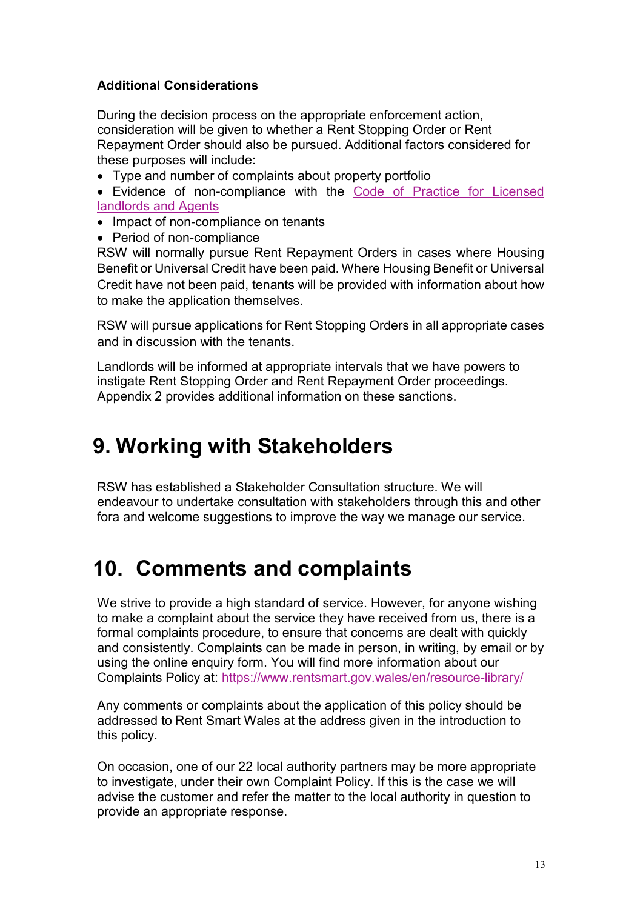#### **Additional Considerations**

During the decision process on the appropriate enforcement action, consideration will be given to whether a Rent Stopping Order or Rent Repayment Order should also be pursued. Additional factors considered for these purposes will include:

• Type and number of complaints about property portfolio

• Evidence of non-compliance with the [Code of Practice](https://www.rentsmart.gov.wales/en/resource-library/) for Licensed [landlords](https://www.rentsmart.gov.wales/en/resource-library/) and Agents

- Impact of non-compliance on tenants
- Period of non-compliance

RSW will normally pursue Rent Repayment Orders in cases where Housing Benefit or Universal Credit have been paid. Where Housing Benefit or Universal Credit have not been paid, tenants will be provided with information about how to make the application themselves.

RSW will pursue applications for Rent Stopping Orders in all appropriate cases and in discussion with the tenants.

Landlords will be informed at appropriate intervals that we have powers to instigate Rent Stopping Order and Rent Repayment Order proceedings. Appendix 2 provides additional information on these sanctions.

### **9. Working with Stakeholders**

RSW has established a Stakeholder Consultation structure. We will endeavour to undertake consultation with stakeholders through this and other fora and welcome suggestions to improve the way we manage our service.

### **10. Comments and complaints**

We strive to provide a high standard of service. However, for anyone wishing to make a complaint about the service they have received from us, there is a formal complaints procedure, to ensure that concerns are dealt with quickly and consistently. Complaints can be made in person, in writing, by email or by using the online enquiry form. You will find more information about our Complaints Policy at: <https://www.rentsmart.gov.wales/en/resource-library/>

Any comments or complaints about the application of this policy should be addressed to Rent Smart Wales at the address given in the introduction to this policy.

On occasion, one of our 22 local authority partners may be more appropriate to investigate, under their own Complaint Policy. If this is the case we will advise the customer and refer the matter to the local authority in question to provide an appropriate response.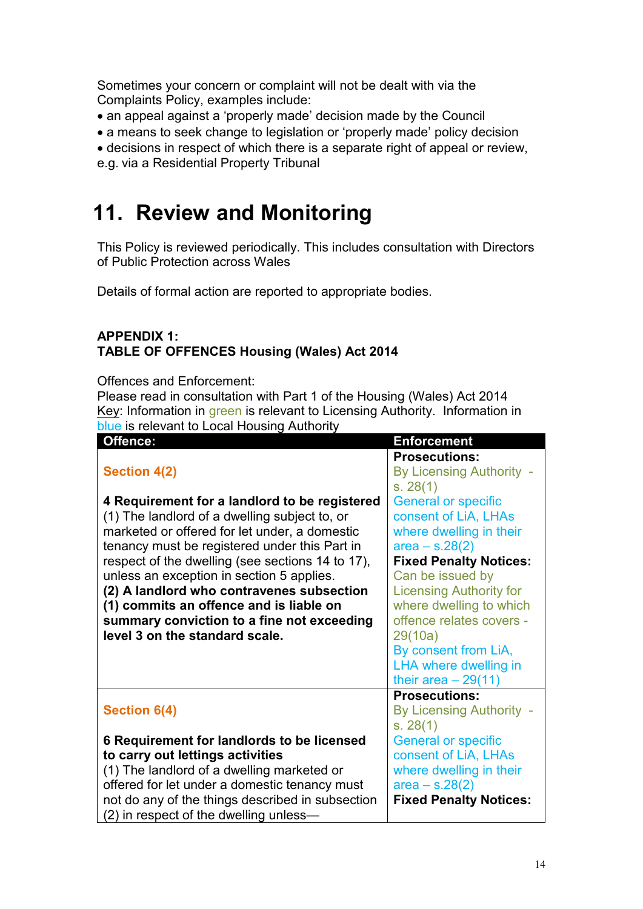Sometimes your concern or complaint will not be dealt with via the Complaints Policy, examples include:

- an appeal against a 'properly made' decision made by the Council
- a means to seek change to legislation or 'properly made' policy decision
- decisions in respect of which there is a separate right of appeal or review,

e.g. via a Residential Property Tribunal

### **11. Review and Monitoring**

This Policy is reviewed periodically. This includes consultation with Directors of Public Protection across Wales

Details of formal action are reported to appropriate bodies.

#### **APPENDIX 1: TABLE OF OFFENCES Housing (Wales) Act 2014**

Offences and Enforcement:

Please read in consultation with Part 1 of the Housing (Wales) Act 2014 Key: Information in green is relevant to Licensing Authority. Information in blue is relevant to Local Housing Authority

| Offence:                                         | <b>Enforcement</b>             |
|--------------------------------------------------|--------------------------------|
|                                                  | <b>Prosecutions:</b>           |
| <b>Section 4(2)</b>                              | By Licensing Authority -       |
|                                                  | s. 28(1)                       |
| 4 Requirement for a landlord to be registered    | <b>General or specific</b>     |
| (1) The landlord of a dwelling subject to, or    | consent of LiA, LHAs           |
| marketed or offered for let under, a domestic    | where dwelling in their        |
| tenancy must be registered under this Part in    | $area - s.28(2)$               |
| respect of the dwelling (see sections 14 to 17), | <b>Fixed Penalty Notices:</b>  |
| unless an exception in section 5 applies.        | Can be issued by               |
| (2) A landlord who contravenes subsection        | <b>Licensing Authority for</b> |
| (1) commits an offence and is liable on          | where dwelling to which        |
| summary conviction to a fine not exceeding       | offence relates covers -       |
| level 3 on the standard scale.                   | 29(10a)                        |
|                                                  | By consent from LiA,           |
|                                                  | LHA where dwelling in          |
|                                                  | their area $-29(11)$           |
|                                                  | <b>Prosecutions:</b>           |
| Section 6(4)                                     | By Licensing Authority -       |
|                                                  | s. 28(1)                       |
| 6 Requirement for landlords to be licensed       | <b>General or specific</b>     |
| to carry out lettings activities                 | consent of LiA, LHAs           |
| (1) The landlord of a dwelling marketed or       | where dwelling in their        |
| offered for let under a domestic tenancy must    | $area - s.28(2)$               |
| not do any of the things described in subsection | <b>Fixed Penalty Notices:</b>  |
| (2) in respect of the dwelling unless—           |                                |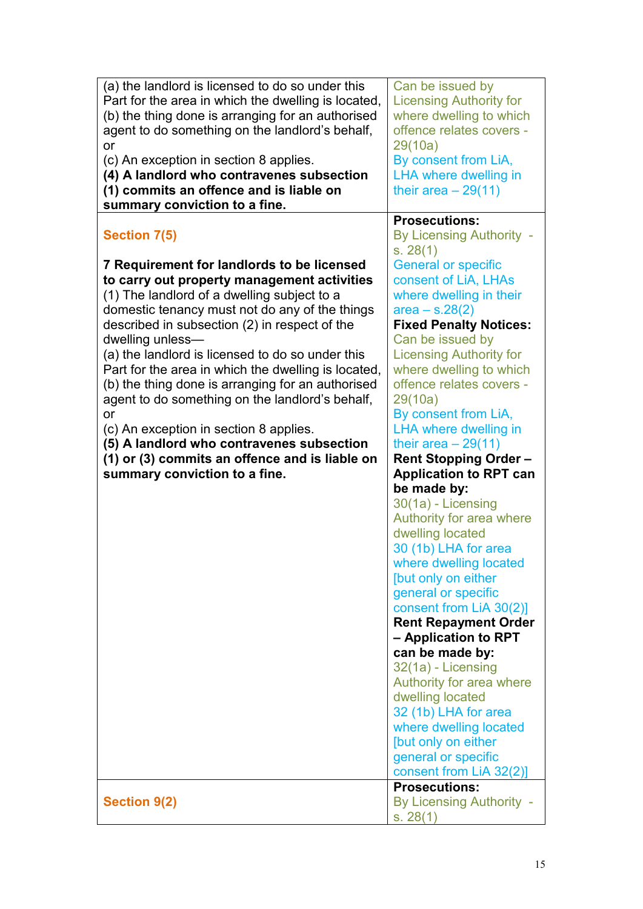| (a) the landlord is licensed to do so under this    | Can be issued by                     |
|-----------------------------------------------------|--------------------------------------|
| Part for the area in which the dwelling is located, | <b>Licensing Authority for</b>       |
|                                                     |                                      |
| (b) the thing done is arranging for an authorised   | where dwelling to which              |
| agent to do something on the landlord's behalf,     | offence relates covers -             |
| or                                                  | 29(10a)                              |
| (c) An exception in section 8 applies.              | By consent from LiA,                 |
| (4) A landlord who contravenes subsection           | <b>LHA where dwelling in</b>         |
| (1) commits an offence and is liable on             | their area $-29(11)$                 |
| summary conviction to a fine.                       |                                      |
|                                                     | <b>Prosecutions:</b>                 |
| <b>Section 7(5)</b>                                 | By Licensing Authority -             |
|                                                     |                                      |
|                                                     | s. 28(1)                             |
| 7 Requirement for landlords to be licensed          | <b>General or specific</b>           |
| to carry out property management activities         | consent of LiA, LHAs                 |
| (1) The landlord of a dwelling subject to a         | where dwelling in their              |
| domestic tenancy must not do any of the things      | $area - s.28(2)$                     |
| described in subsection (2) in respect of the       | <b>Fixed Penalty Notices:</b>        |
| dwelling unless-                                    | Can be issued by                     |
| (a) the landlord is licensed to do so under this    | <b>Licensing Authority for</b>       |
| Part for the area in which the dwelling is located, | where dwelling to which              |
|                                                     | offence relates covers -             |
| (b) the thing done is arranging for an authorised   |                                      |
| agent to do something on the landlord's behalf,     | 29(10a)                              |
| or                                                  | By consent from LiA,                 |
| (c) An exception in section 8 applies.              | <b>LHA where dwelling in</b>         |
| (5) A landlord who contravenes subsection           | their area $-29(11)$                 |
| (1) or (3) commits an offence and is liable on      | <b>Rent Stopping Order-</b>          |
| summary conviction to a fine.                       | <b>Application to RPT can</b>        |
|                                                     | be made by:                          |
|                                                     | 30(1a) - Licensing                   |
|                                                     | Authority for area where             |
|                                                     |                                      |
|                                                     | dwelling located                     |
|                                                     | 30 (1b) LHA for area                 |
|                                                     | where dwelling located               |
|                                                     | [but only on either                  |
|                                                     | general or specific                  |
|                                                     | consent from LiA 30(2)]              |
|                                                     | <b>Rent Repayment Order</b>          |
|                                                     | - Application to RPT                 |
|                                                     | can be made by:                      |
|                                                     | 32(1a) - Licensing                   |
|                                                     | Authority for area where             |
|                                                     |                                      |
|                                                     | dwelling located                     |
|                                                     | 32 (1b) LHA for area                 |
|                                                     | where dwelling located               |
|                                                     | [but only on either                  |
|                                                     | general or specific                  |
|                                                     | consent from LiA 32(2)]              |
|                                                     |                                      |
|                                                     | <b>Prosecutions:</b>                 |
|                                                     |                                      |
| <b>Section 9(2)</b>                                 | By Licensing Authority -<br>s. 28(1) |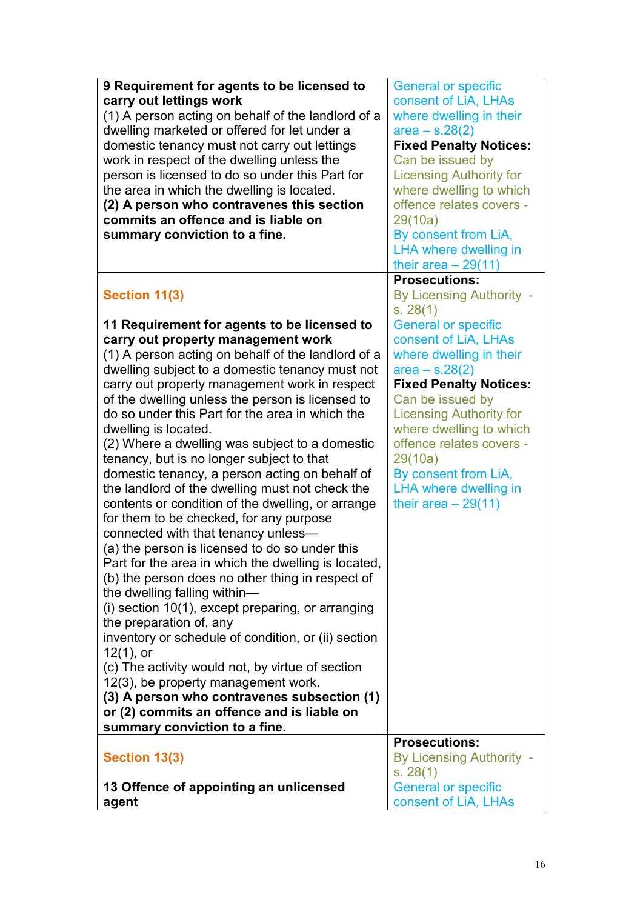| 9 Requirement for agents to be licensed to<br>carry out lettings work<br>(1) A person acting on behalf of the landlord of a<br>dwelling marketed or offered for let under a<br>domestic tenancy must not carry out lettings<br>work in respect of the dwelling unless the<br>person is licensed to do so under this Part for<br>the area in which the dwelling is located.<br>(2) A person who contravenes this section<br>commits an offence and is liable on<br>summary conviction to a fine.                                                                                                                                                                                                                                                                                                                                                                                                                                                                                                                                                                                                                                                                                                                                                                                                      | <b>General or specific</b><br>consent of LiA, LHAs<br>where dwelling in their<br>$area - s.28(2)$<br><b>Fixed Penalty Notices:</b><br>Can be issued by<br><b>Licensing Authority for</b><br>where dwelling to which<br>offence relates covers -<br>29(10a)<br>By consent from LiA,<br><b>LHA where dwelling in</b><br>their area $-29(11)$                         |
|------------------------------------------------------------------------------------------------------------------------------------------------------------------------------------------------------------------------------------------------------------------------------------------------------------------------------------------------------------------------------------------------------------------------------------------------------------------------------------------------------------------------------------------------------------------------------------------------------------------------------------------------------------------------------------------------------------------------------------------------------------------------------------------------------------------------------------------------------------------------------------------------------------------------------------------------------------------------------------------------------------------------------------------------------------------------------------------------------------------------------------------------------------------------------------------------------------------------------------------------------------------------------------------------------|--------------------------------------------------------------------------------------------------------------------------------------------------------------------------------------------------------------------------------------------------------------------------------------------------------------------------------------------------------------------|
| Section 11(3)                                                                                                                                                                                                                                                                                                                                                                                                                                                                                                                                                                                                                                                                                                                                                                                                                                                                                                                                                                                                                                                                                                                                                                                                                                                                                        | <b>Prosecutions:</b><br><b>By Licensing Authority -</b><br>s. 28(1)                                                                                                                                                                                                                                                                                                |
| 11 Requirement for agents to be licensed to<br>carry out property management work<br>(1) A person acting on behalf of the landlord of a<br>dwelling subject to a domestic tenancy must not<br>carry out property management work in respect<br>of the dwelling unless the person is licensed to<br>do so under this Part for the area in which the<br>dwelling is located.<br>(2) Where a dwelling was subject to a domestic<br>tenancy, but is no longer subject to that<br>domestic tenancy, a person acting on behalf of<br>the landlord of the dwelling must not check the<br>contents or condition of the dwelling, or arrange<br>for them to be checked, for any purpose<br>connected with that tenancy unless-<br>(a) the person is licensed to do so under this<br>Part for the area in which the dwelling is located,<br>(b) the person does no other thing in respect of<br>the dwelling falling within-<br>$(i)$ section 10(1), except preparing, or arranging<br>the preparation of, any<br>inventory or schedule of condition, or (ii) section<br>$12(1)$ , or<br>(c) The activity would not, by virtue of section<br>12(3), be property management work.<br>(3) A person who contravenes subsection (1)<br>or (2) commits an offence and is liable on<br>summary conviction to a fine. | <b>General or specific</b><br>consent of LiA, LHAs<br>where dwelling in their<br>$area - s.28(2)$<br><b>Fixed Penalty Notices:</b><br>Can be issued by<br><b>Licensing Authority for</b><br>where dwelling to which<br>offence relates covers -<br>29(10a)<br>By consent from LiA,<br><b>LHA where dwelling in</b><br>their area $-29(11)$<br><b>Prosecutions:</b> |
| Section 13(3)                                                                                                                                                                                                                                                                                                                                                                                                                                                                                                                                                                                                                                                                                                                                                                                                                                                                                                                                                                                                                                                                                                                                                                                                                                                                                        | By Licensing Authority -<br>s. 28(1)                                                                                                                                                                                                                                                                                                                               |
| 13 Offence of appointing an unlicensed<br>agent                                                                                                                                                                                                                                                                                                                                                                                                                                                                                                                                                                                                                                                                                                                                                                                                                                                                                                                                                                                                                                                                                                                                                                                                                                                      | <b>General or specific</b><br>consent of LiA, LHAs                                                                                                                                                                                                                                                                                                                 |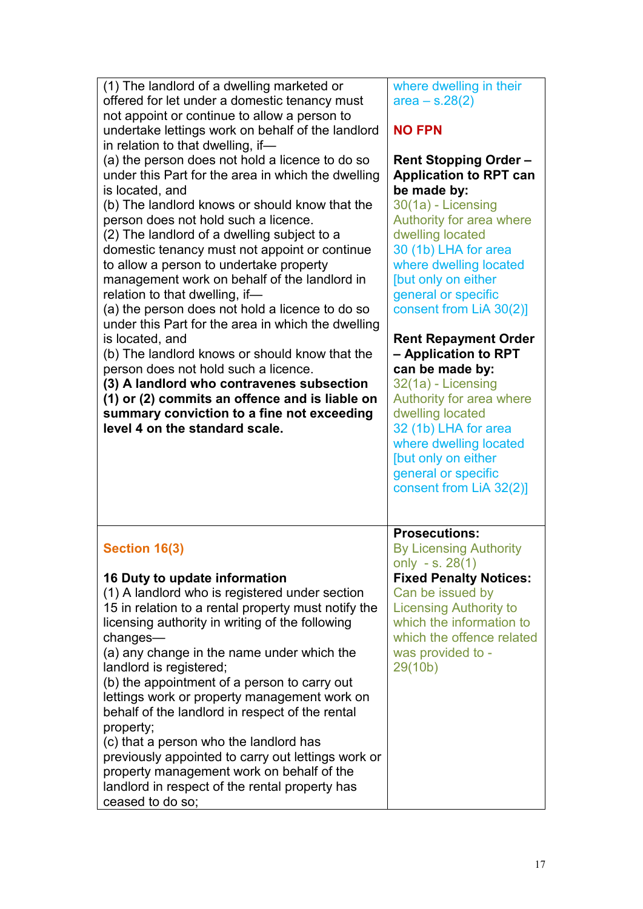| (1) The landlord of a dwelling marketed or<br>offered for let under a domestic tenancy must<br>not appoint or continue to allow a person to<br>undertake lettings work on behalf of the landlord<br>in relation to that dwelling, if-<br>(a) the person does not hold a licence to do so<br>under this Part for the area in which the dwelling<br>is located, and<br>(b) The landlord knows or should know that the<br>person does not hold such a licence.<br>(2) The landlord of a dwelling subject to a<br>domestic tenancy must not appoint or continue<br>to allow a person to undertake property<br>management work on behalf of the landlord in<br>relation to that dwelling, if-<br>(a) the person does not hold a licence to do so<br>under this Part for the area in which the dwelling<br>is located, and<br>(b) The landlord knows or should know that the<br>person does not hold such a licence.<br>(3) A landlord who contravenes subsection<br>(1) or (2) commits an offence and is liable on<br>summary conviction to a fine not exceeding<br>level 4 on the standard scale. | where dwelling in their<br>$area - s.28(2)$<br><b>NO FPN</b><br><b>Rent Stopping Order -</b><br><b>Application to RPT can</b><br>be made by:<br>30(1a) - Licensing<br>Authority for area where<br>dwelling located<br>30 (1b) LHA for area<br>where dwelling located<br>[but only on either<br>general or specific<br>consent from LiA 30(2)]<br><b>Rent Repayment Order</b><br>- Application to RPT<br>can be made by:<br>32(1a) - Licensing<br>Authority for area where<br>dwelling located<br>32 (1b) LHA for area<br>where dwelling located<br>[but only on either<br>general or specific<br>consent from LiA 32(2)] |
|-----------------------------------------------------------------------------------------------------------------------------------------------------------------------------------------------------------------------------------------------------------------------------------------------------------------------------------------------------------------------------------------------------------------------------------------------------------------------------------------------------------------------------------------------------------------------------------------------------------------------------------------------------------------------------------------------------------------------------------------------------------------------------------------------------------------------------------------------------------------------------------------------------------------------------------------------------------------------------------------------------------------------------------------------------------------------------------------------|--------------------------------------------------------------------------------------------------------------------------------------------------------------------------------------------------------------------------------------------------------------------------------------------------------------------------------------------------------------------------------------------------------------------------------------------------------------------------------------------------------------------------------------------------------------------------------------------------------------------------|
| Section 16(3)<br>16 Duty to update information<br>(1) A landlord who is registered under section<br>15 in relation to a rental property must notify the<br>licensing authority in writing of the following<br>changes—<br>(a) any change in the name under which the<br>landlord is registered;<br>(b) the appointment of a person to carry out<br>lettings work or property management work on<br>behalf of the landlord in respect of the rental<br>property;<br>(c) that a person who the landlord has<br>previously appointed to carry out lettings work or<br>property management work on behalf of the<br>landlord in respect of the rental property has<br>ceased to do so;                                                                                                                                                                                                                                                                                                                                                                                                            | <b>Prosecutions:</b><br><b>By Licensing Authority</b><br>only - s. $28(1)$<br><b>Fixed Penalty Notices:</b><br>Can be issued by<br><b>Licensing Authority to</b><br>which the information to<br>which the offence related<br>was provided to -<br>29(10b)                                                                                                                                                                                                                                                                                                                                                                |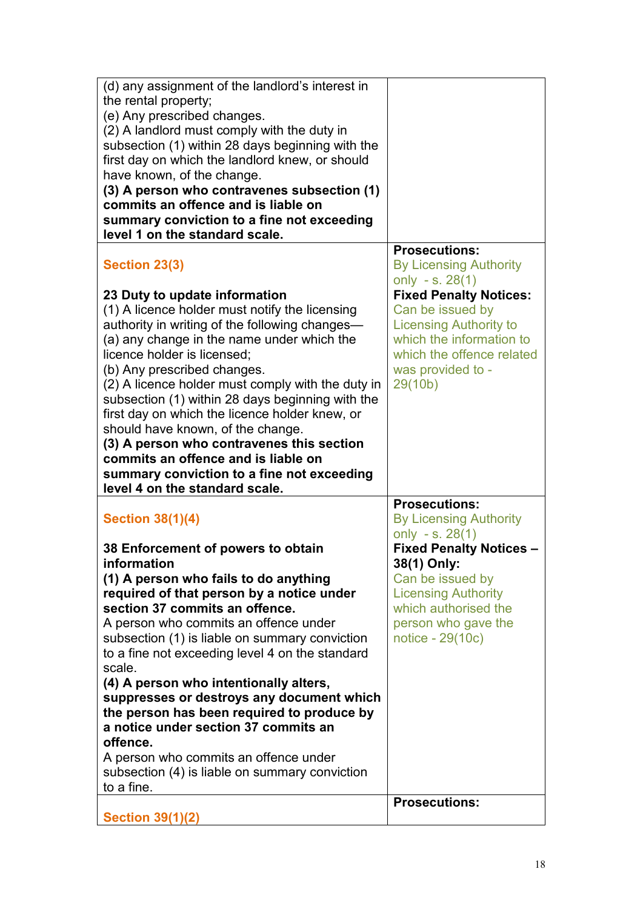| (d) any assignment of the landlord's interest in<br>the rental property;<br>(e) Any prescribed changes.<br>(2) A landlord must comply with the duty in                                                                                                                                                                                                                                                                                                                                     |                                                                                                                                                                             |
|--------------------------------------------------------------------------------------------------------------------------------------------------------------------------------------------------------------------------------------------------------------------------------------------------------------------------------------------------------------------------------------------------------------------------------------------------------------------------------------------|-----------------------------------------------------------------------------------------------------------------------------------------------------------------------------|
| subsection (1) within 28 days beginning with the<br>first day on which the landlord knew, or should<br>have known, of the change.<br>(3) A person who contravenes subsection (1)                                                                                                                                                                                                                                                                                                           |                                                                                                                                                                             |
| commits an offence and is liable on<br>summary conviction to a fine not exceeding<br>level 1 on the standard scale.                                                                                                                                                                                                                                                                                                                                                                        |                                                                                                                                                                             |
| Section 23(3)                                                                                                                                                                                                                                                                                                                                                                                                                                                                              | <b>Prosecutions:</b><br><b>By Licensing Authority</b><br>only - s. $28(1)$                                                                                                  |
| 23 Duty to update information<br>(1) A licence holder must notify the licensing<br>authority in writing of the following changes—<br>(a) any change in the name under which the<br>licence holder is licensed;<br>(b) Any prescribed changes.<br>(2) A licence holder must comply with the duty in<br>subsection (1) within 28 days beginning with the<br>first day on which the licence holder knew, or<br>should have known, of the change.<br>(3) A person who contravenes this section | <b>Fixed Penalty Notices:</b><br>Can be issued by<br><b>Licensing Authority to</b><br>which the information to<br>which the offence related<br>was provided to -<br>29(10b) |
| commits an offence and is liable on<br>summary conviction to a fine not exceeding                                                                                                                                                                                                                                                                                                                                                                                                          |                                                                                                                                                                             |
| level 4 on the standard scale.                                                                                                                                                                                                                                                                                                                                                                                                                                                             |                                                                                                                                                                             |
| <b>Section 38(1)(4)</b>                                                                                                                                                                                                                                                                                                                                                                                                                                                                    | <b>Prosecutions:</b><br><b>By Licensing Authority</b><br>only - s. $28(1)$                                                                                                  |
| 38 Enforcement of powers to obtain<br>information                                                                                                                                                                                                                                                                                                                                                                                                                                          | <b>Fixed Penalty Notices -</b><br>38(1) Only:                                                                                                                               |
| (1) A person who fails to do anything<br>required of that person by a notice under                                                                                                                                                                                                                                                                                                                                                                                                         | Can be issued by<br><b>Licensing Authority</b>                                                                                                                              |
| section 37 commits an offence.                                                                                                                                                                                                                                                                                                                                                                                                                                                             | which authorised the                                                                                                                                                        |
| A person who commits an offence under<br>subsection (1) is liable on summary conviction<br>to a fine not exceeding level 4 on the standard<br>scale.                                                                                                                                                                                                                                                                                                                                       | person who gave the<br>notice - 29(10c)                                                                                                                                     |
| (4) A person who intentionally alters,<br>suppresses or destroys any document which<br>the person has been required to produce by<br>a notice under section 37 commits an<br>offence.                                                                                                                                                                                                                                                                                                      |                                                                                                                                                                             |
| A person who commits an offence under<br>subsection (4) is liable on summary conviction<br>to a fine.                                                                                                                                                                                                                                                                                                                                                                                      | <b>Prosecutions:</b>                                                                                                                                                        |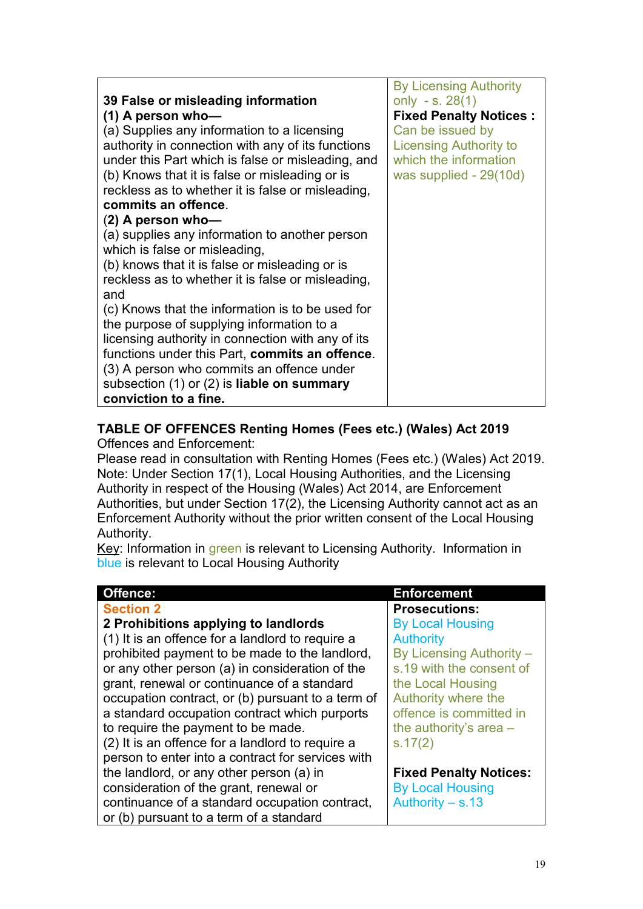|                                                       | <b>By Licensing Authority</b> |
|-------------------------------------------------------|-------------------------------|
| 39 False or misleading information                    | only - s. $28(1)$             |
| $(1)$ A person who-                                   | <b>Fixed Penalty Notices:</b> |
| (a) Supplies any information to a licensing           | Can be issued by              |
| authority in connection with any of its functions     | <b>Licensing Authority to</b> |
| under this Part which is false or misleading, and     | which the information         |
| (b) Knows that it is false or misleading or is        | was supplied - 29(10d)        |
| reckless as to whether it is false or misleading,     |                               |
| commits an offence.                                   |                               |
| $(2)$ A person who-                                   |                               |
| (a) supplies any information to another person        |                               |
| which is false or misleading,                         |                               |
| (b) knows that it is false or misleading or is        |                               |
| reckless as to whether it is false or misleading,     |                               |
| and                                                   |                               |
| (c) Knows that the information is to be used for      |                               |
| the purpose of supplying information to a             |                               |
| licensing authority in connection with any of its     |                               |
| functions under this Part, commits an offence.        |                               |
| (3) A person who commits an offence under             |                               |
| subsection $(1)$ or $(2)$ is <b>liable on summary</b> |                               |
| conviction to a fine.                                 |                               |

#### **TABLE OF OFFENCES Renting Homes (Fees etc.) (Wales) Act 2019**

Offences and Enforcement:

Please read in consultation with Renting Homes (Fees etc.) (Wales) Act 2019. Note: Under Section 17(1), Local Housing Authorities, and the Licensing Authority in respect of the Housing (Wales) Act 2014, are Enforcement Authorities, but under Section 17(2), the Licensing Authority cannot act as an Enforcement Authority without the prior written consent of the Local Housing Authority.

Key: Information in green is relevant to Licensing Authority. Information in blue is relevant to Local Housing Authority

| Offence:                                          | <b>Enforcement</b>            |
|---------------------------------------------------|-------------------------------|
| <b>Section 2</b>                                  | <b>Prosecutions:</b>          |
| 2 Prohibitions applying to landlords              | <b>By Local Housing</b>       |
| (1) It is an offence for a landlord to require a  | <b>Authority</b>              |
| prohibited payment to be made to the landlord,    | By Licensing Authority -      |
| or any other person (a) in consideration of the   | s.19 with the consent of      |
| grant, renewal or continuance of a standard       | the Local Housing             |
| occupation contract, or (b) pursuant to a term of | Authority where the           |
| a standard occupation contract which purports     | offence is committed in       |
| to require the payment to be made.                | the authority's area $-$      |
| (2) It is an offence for a landlord to require a  | s.17(2)                       |
| person to enter into a contract for services with |                               |
| the landlord, or any other person (a) in          | <b>Fixed Penalty Notices:</b> |
| consideration of the grant, renewal or            | <b>By Local Housing</b>       |
| continuance of a standard occupation contract,    | Authority $- s.13$            |
| or (b) pursuant to a term of a standard           |                               |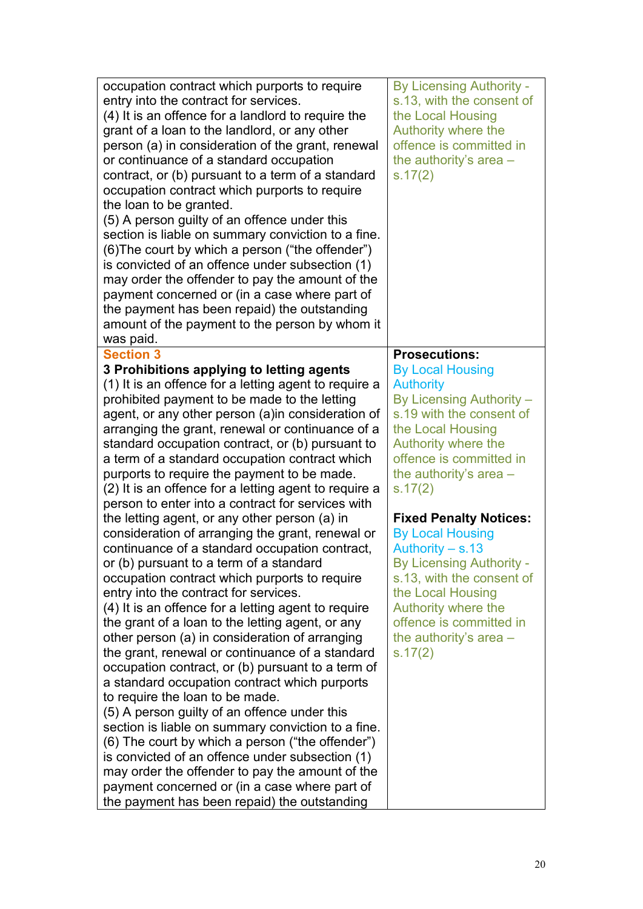| occupation contract which purports to require<br>entry into the contract for services.<br>(4) It is an offence for a landlord to require the<br>grant of a loan to the landlord, or any other<br>person (a) in consideration of the grant, renewal<br>or continuance of a standard occupation<br>contract, or (b) pursuant to a term of a standard<br>occupation contract which purports to require<br>the loan to be granted.<br>(5) A person guilty of an offence under this<br>section is liable on summary conviction to a fine.<br>(6) The court by which a person ("the offender")<br>is convicted of an offence under subsection (1)<br>may order the offender to pay the amount of the<br>payment concerned or (in a case where part of<br>the payment has been repaid) the outstanding<br>amount of the payment to the person by whom it<br>was paid.                                                                                                                                                                                                                                                                                                                                                                                                                                                 | <b>By Licensing Authority -</b><br>s.13, with the consent of<br>the Local Housing<br>Authority where the<br>offence is committed in<br>the authority's area -<br>s.17(2)                                                                                                                                                                                                                                                                                                                                  |
|----------------------------------------------------------------------------------------------------------------------------------------------------------------------------------------------------------------------------------------------------------------------------------------------------------------------------------------------------------------------------------------------------------------------------------------------------------------------------------------------------------------------------------------------------------------------------------------------------------------------------------------------------------------------------------------------------------------------------------------------------------------------------------------------------------------------------------------------------------------------------------------------------------------------------------------------------------------------------------------------------------------------------------------------------------------------------------------------------------------------------------------------------------------------------------------------------------------------------------------------------------------------------------------------------------------|-----------------------------------------------------------------------------------------------------------------------------------------------------------------------------------------------------------------------------------------------------------------------------------------------------------------------------------------------------------------------------------------------------------------------------------------------------------------------------------------------------------|
| <b>Section 3</b><br>3 Prohibitions applying to letting agents<br>(1) It is an offence for a letting agent to require a<br>prohibited payment to be made to the letting<br>agent, or any other person (a) in consideration of<br>arranging the grant, renewal or continuance of a<br>standard occupation contract, or (b) pursuant to<br>a term of a standard occupation contract which<br>purports to require the payment to be made.<br>(2) It is an offence for a letting agent to require a<br>person to enter into a contract for services with<br>the letting agent, or any other person (a) in<br>consideration of arranging the grant, renewal or<br>continuance of a standard occupation contract,<br>or (b) pursuant to a term of a standard<br>occupation contract which purports to require<br>entry into the contract for services.<br>(4) It is an offence for a letting agent to require<br>the grant of a loan to the letting agent, or any<br>other person (a) in consideration of arranging<br>the grant, renewal or continuance of a standard<br>occupation contract, or (b) pursuant to a term of<br>a standard occupation contract which purports<br>to require the loan to be made.<br>(5) A person guilty of an offence under this<br>section is liable on summary conviction to a fine. | <b>Prosecutions:</b><br><b>By Local Housing</b><br><b>Authority</b><br>By Licensing Authority -<br>s.19 with the consent of<br>the Local Housing<br>Authority where the<br>offence is committed in<br>the authority's area $-$<br>s.17(2)<br><b>Fixed Penalty Notices:</b><br><b>By Local Housing</b><br>Authority $-$ s.13<br><b>By Licensing Authority -</b><br>s.13, with the consent of<br>the Local Housing<br>Authority where the<br>offence is committed in<br>the authority's area $-$<br>s.17(2) |
| (6) The court by which a person ("the offender")<br>is convicted of an offence under subsection (1)<br>may order the offender to pay the amount of the<br>payment concerned or (in a case where part of<br>the payment has been repaid) the outstanding                                                                                                                                                                                                                                                                                                                                                                                                                                                                                                                                                                                                                                                                                                                                                                                                                                                                                                                                                                                                                                                        |                                                                                                                                                                                                                                                                                                                                                                                                                                                                                                           |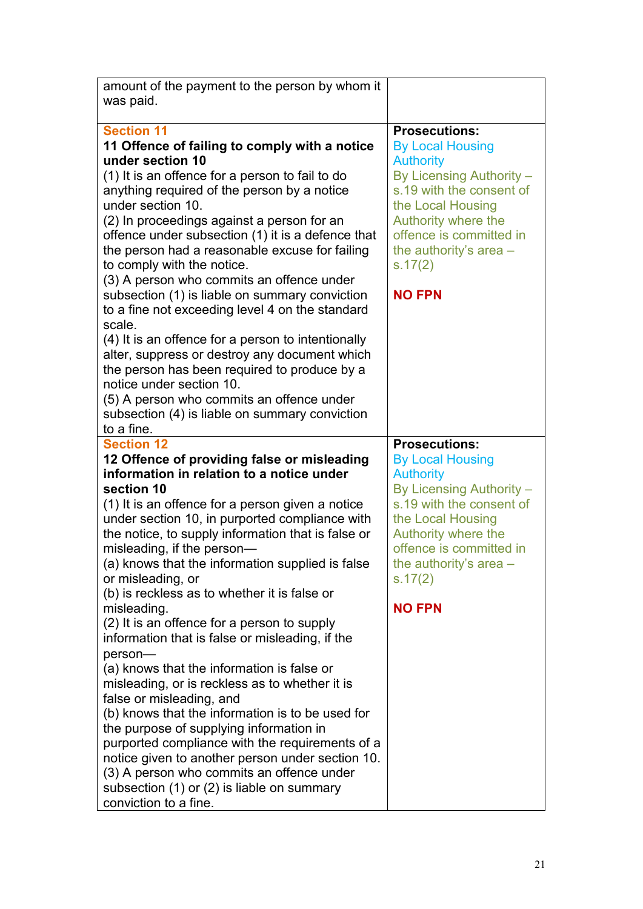| amount of the payment to the person by whom it                                                       |                                                 |
|------------------------------------------------------------------------------------------------------|-------------------------------------------------|
| was paid.                                                                                            |                                                 |
|                                                                                                      |                                                 |
| <b>Section 11</b><br>11 Offence of failing to comply with a notice                                   | <b>Prosecutions:</b><br><b>By Local Housing</b> |
| under section 10                                                                                     | <b>Authority</b>                                |
| (1) It is an offence for a person to fail to do                                                      | By Licensing Authority -                        |
| anything required of the person by a notice                                                          | s.19 with the consent of                        |
| under section 10.                                                                                    | the Local Housing                               |
| (2) In proceedings against a person for an                                                           | Authority where the                             |
| offence under subsection (1) it is a defence that                                                    | offence is committed in                         |
| the person had a reasonable excuse for failing                                                       | the authority's area $-$                        |
| to comply with the notice.                                                                           | s.17(2)                                         |
| (3) A person who commits an offence under                                                            |                                                 |
| subsection (1) is liable on summary conviction                                                       | <b>NO FPN</b>                                   |
| to a fine not exceeding level 4 on the standard                                                      |                                                 |
| scale.                                                                                               |                                                 |
| (4) It is an offence for a person to intentionally<br>alter, suppress or destroy any document which  |                                                 |
| the person has been required to produce by a                                                         |                                                 |
| notice under section 10.                                                                             |                                                 |
| (5) A person who commits an offence under                                                            |                                                 |
| subsection (4) is liable on summary conviction                                                       |                                                 |
| to a fine.                                                                                           |                                                 |
| <b>Section 12</b>                                                                                    | <b>Prosecutions:</b>                            |
| 12 Offence of providing false or misleading                                                          | <b>By Local Housing</b>                         |
| information in relation to a notice under                                                            | <b>Authority</b>                                |
| section 10                                                                                           | By Licensing Authority -                        |
| (1) It is an offence for a person given a notice                                                     | s.19 with the consent of<br>the Local Housing   |
| under section 10, in purported compliance with<br>the notice, to supply information that is false or | Authority where the                             |
| misleading, if the person-                                                                           | offence is committed in                         |
| (a) knows that the information supplied is false                                                     | the authority's area -                          |
| or misleading, or                                                                                    | s.17(2)                                         |
| (b) is reckless as to whether it is false or                                                         |                                                 |
| misleading.                                                                                          | <b>NO FPN</b>                                   |
| (2) It is an offence for a person to supply                                                          |                                                 |
| information that is false or misleading, if the                                                      |                                                 |
| person-                                                                                              |                                                 |
| (a) knows that the information is false or                                                           |                                                 |
| misleading, or is reckless as to whether it is                                                       |                                                 |
| false or misleading, and                                                                             |                                                 |
| (b) knows that the information is to be used for<br>the purpose of supplying information in          |                                                 |
| purported compliance with the requirements of a                                                      |                                                 |
| notice given to another person under section 10.                                                     |                                                 |
| (3) A person who commits an offence under                                                            |                                                 |
| subsection (1) or (2) is liable on summary                                                           |                                                 |
|                                                                                                      |                                                 |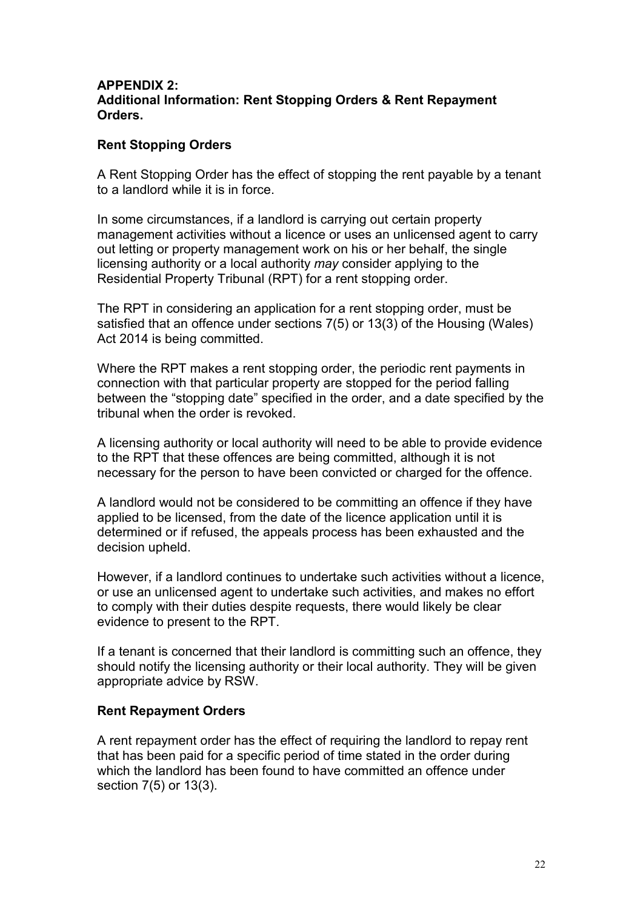#### **APPENDIX 2: Additional Information: Rent Stopping Orders & Rent Repayment Orders.**

#### **Rent Stopping Orders**

A Rent Stopping Order has the effect of stopping the rent payable by a tenant to a landlord while it is in force.

In some circumstances, if a landlord is carrying out certain property management activities without a licence or uses an unlicensed agent to carry out letting or property management work on his or her behalf, the single licensing authority or a local authority *may* consider applying to the Residential Property Tribunal (RPT) for a rent stopping order.

The RPT in considering an application for a rent stopping order, must be satisfied that an offence under sections 7(5) or 13(3) of the Housing (Wales) Act 2014 is being committed.

Where the RPT makes a rent stopping order, the periodic rent payments in connection with that particular property are stopped for the period falling between the "stopping date" specified in the order, and a date specified by the tribunal when the order is revoked.

A licensing authority or local authority will need to be able to provide evidence to the RPT that these offences are being committed, although it is not necessary for the person to have been convicted or charged for the offence.

A landlord would not be considered to be committing an offence if they have applied to be licensed, from the date of the licence application until it is determined or if refused, the appeals process has been exhausted and the decision upheld.

However, if a landlord continues to undertake such activities without a licence, or use an unlicensed agent to undertake such activities, and makes no effort to comply with their duties despite requests, there would likely be clear evidence to present to the RPT.

If a tenant is concerned that their landlord is committing such an offence, they should notify the licensing authority or their local authority. They will be given appropriate advice by RSW.

#### **Rent Repayment Orders**

A rent repayment order has the effect of requiring the landlord to repay rent that has been paid for a specific period of time stated in the order during which the landlord has been found to have committed an offence under section 7(5) or 13(3).